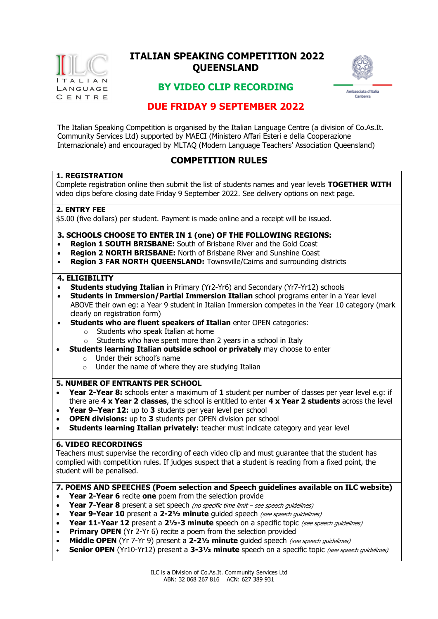

# **QUEENSLAND ITALIAN SPEAKING COMPETITION 2022**



## **BY VIDEO CLIP RECORDING**

## **DUE FRIDAY 9 SEPTEMBER 2022**

The Italian Speaking Competition is organised by the Italian Language Centre (a division of Co.As.It. Community Services Ltd) supported by MAECI (Ministero Affari Esteri e della Cooperazione Internazionale) and encouraged by MLTAQ (Modern Language Teachers' Association Queensland)

## **COMPETITION RULES**

#### **1. REGISTRATION**

Complete registration online then submit the list of students names and year levels **TOGETHER WITH** video clips before closing date Friday 9 September 2022. See delivery options on next page.

#### **2. ENTRY FEE**

\$5.00 (five dollars) per student. Payment is made online and a receipt will be issued.

#### **3. SCHOOLS CHOOSE TO ENTER IN 1 (one) OF THE FOLLOWING REGIONS:**

- **Region 1 SOUTH BRISBANE:** South of Brisbane River and the Gold Coast
- **Region 2 NORTH BRISBANE:** North of Brisbane River and Sunshine Coast
- **Region 3 FAR NORTH QUEENSLAND:** Townsville/Cairns and surrounding districts

#### **4. ELIGIBILITY**

- **Students studying Italian** in Primary (Yr2-Yr6) and Secondary (Yr7-Yr12) schools
- **Students in Immersion/Partial Immersion Italian** school programs enter in a Year level ABOVE their own eg: a Year 9 student in Italian Immersion competes in the Year 10 category (mark clearly on registration form)
- **Students who are fluent speakers of Italian** enter OPEN categories:
	- o Students who speak Italian at home
	- $\circ$  Students who have spent more than 2 years in a school in Italy
- **Students learning Italian outside school or privately** may choose to enter
	- o Under their school's name
	- $\circ$  Under the name of where they are studying Italian

#### **5. NUMBER OF ENTRANTS PER SCHOOL**

- **Year 2-Year 8:** schools enter a maximum of **1** student per number of classes per year level e.g: if there are **4 x Year 2 classes**, the school is entitled to enter **4 x Year 2 students** across the level
- **Year 9–Year 12:** up to **3** students per year level per school
- **OPEN divisions:** up to **3** students per OPEN division per school
- **Students learning Italian privately:** teacher must indicate category and year level

#### **6. VIDEO RECORDINGS**

Teachers must supervise the recording of each video clip and must guarantee that the student has complied with competition rules. If judges suspect that a student is reading from a fixed point, the student will be penalised.

#### **7. POEMS AND SPEECHES (Poem selection and Speech guidelines available on ILC website)**

- **Year 2-Year 6** recite **one** poem from the selection provide
- **Year 7-Year 8** present a set speech (no specific time limit see speech quidelines)
- **Year 9-Year 10** present a 2-21/<sub>2</sub> minute quided speech (see speech quidelines)
- **Year 11-Year 12** present a 21/2-3 minute speech on a specific topic (see speech quidelines)
- **Primary OPEN** (Yr 2-Yr 6) recite a poem from the selection provided
- **Middle OPEN** (Yr 7-Yr 9) present a 2-21/<sub>2</sub> minute quided speech (see speech quidelines)
- **Senior OPEN** (Yr10-Yr12) present a 3-31/<sub>2</sub> minute speech on a specific topic (see speech guidelines)